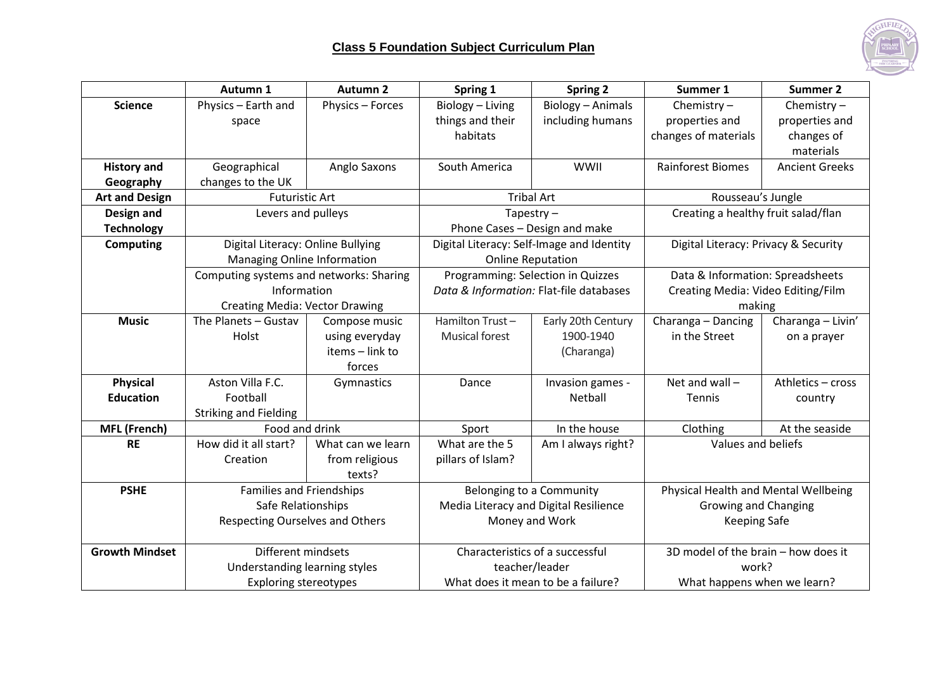

|                       | Autumn 1                              | <b>Autumn 2</b>                         | Spring 1                                  | <b>Spring 2</b>                   | Summer 1                             | <b>Summer 2</b>       |
|-----------------------|---------------------------------------|-----------------------------------------|-------------------------------------------|-----------------------------------|--------------------------------------|-----------------------|
| <b>Science</b>        | Physics - Earth and                   | Physics - Forces                        | Biology - Living                          | <b>Biology - Animals</b>          | Chemistry $-$                        | Chemistry $-$         |
|                       | space                                 |                                         | things and their                          | including humans                  | properties and                       | properties and        |
|                       |                                       |                                         | habitats                                  |                                   | changes of materials                 | changes of            |
|                       |                                       |                                         |                                           |                                   |                                      | materials             |
| <b>History and</b>    | Geographical                          | Anglo Saxons                            | South America                             | <b>WWII</b>                       | <b>Rainforest Biomes</b>             | <b>Ancient Greeks</b> |
| Geography             | changes to the UK                     |                                         |                                           |                                   |                                      |                       |
| <b>Art and Design</b> | <b>Futuristic Art</b>                 |                                         | <b>Tribal Art</b>                         |                                   | Rousseau's Jungle                    |                       |
| Design and            | Levers and pulleys                    |                                         | Tapestry $-$                              |                                   | Creating a healthy fruit salad/flan  |                       |
| <b>Technology</b>     |                                       |                                         | Phone Cases - Design and make             |                                   |                                      |                       |
| <b>Computing</b>      | Digital Literacy: Online Bullying     |                                         | Digital Literacy: Self-Image and Identity |                                   | Digital Literacy: Privacy & Security |                       |
|                       | Managing Online Information           |                                         | <b>Online Reputation</b>                  |                                   |                                      |                       |
|                       |                                       | Computing systems and networks: Sharing |                                           | Programming: Selection in Quizzes | Data & Information: Spreadsheets     |                       |
|                       | Information                           |                                         | Data & Information: Flat-file databases   |                                   | Creating Media: Video Editing/Film   |                       |
|                       | <b>Creating Media: Vector Drawing</b> |                                         |                                           |                                   | making                               |                       |
| <b>Music</b>          | The Planets - Gustav                  | Compose music                           | Hamilton Trust-                           | Early 20th Century                | Charanga - Dancing                   | Charanga - Livin'     |
|                       | Holst                                 | using everyday                          | <b>Musical forest</b>                     | 1900-1940                         | in the Street                        | on a prayer           |
|                       |                                       | items - link to                         |                                           | (Charanga)                        |                                      |                       |
|                       |                                       | forces                                  |                                           |                                   |                                      |                       |
| <b>Physical</b>       | Aston Villa F.C.                      | Gymnastics                              | Dance                                     | Invasion games -                  | Net and wall $-$                     | Athletics - cross     |
| <b>Education</b>      | Football                              |                                         |                                           | Netball                           | Tennis                               | country               |
|                       | <b>Striking and Fielding</b>          |                                         |                                           |                                   |                                      |                       |
| <b>MFL (French)</b>   | Food and drink                        |                                         | Sport                                     | In the house                      | Clothing                             | At the seaside        |
| <b>RE</b>             | How did it all start?                 | What can we learn                       | What are the 5                            | Am I always right?                | Values and beliefs                   |                       |
|                       | Creation                              | from religious                          | pillars of Islam?                         |                                   |                                      |                       |
|                       |                                       | texts?                                  |                                           |                                   |                                      |                       |
| <b>PSHE</b>           | <b>Families and Friendships</b>       |                                         | Belonging to a Community                  |                                   | Physical Health and Mental Wellbeing |                       |
|                       | Safe Relationships                    |                                         | Media Literacy and Digital Resilience     |                                   | Growing and Changing                 |                       |
|                       | Respecting Ourselves and Others       |                                         | Money and Work                            |                                   | <b>Keeping Safe</b>                  |                       |
|                       |                                       |                                         |                                           |                                   |                                      |                       |
| <b>Growth Mindset</b> | Different mindsets                    |                                         | Characteristics of a successful           |                                   | 3D model of the brain - how does it  |                       |
|                       | Understanding learning styles         |                                         | teacher/leader                            |                                   | work?                                |                       |
|                       | <b>Exploring stereotypes</b>          |                                         | What does it mean to be a failure?        |                                   | What happens when we learn?          |                       |